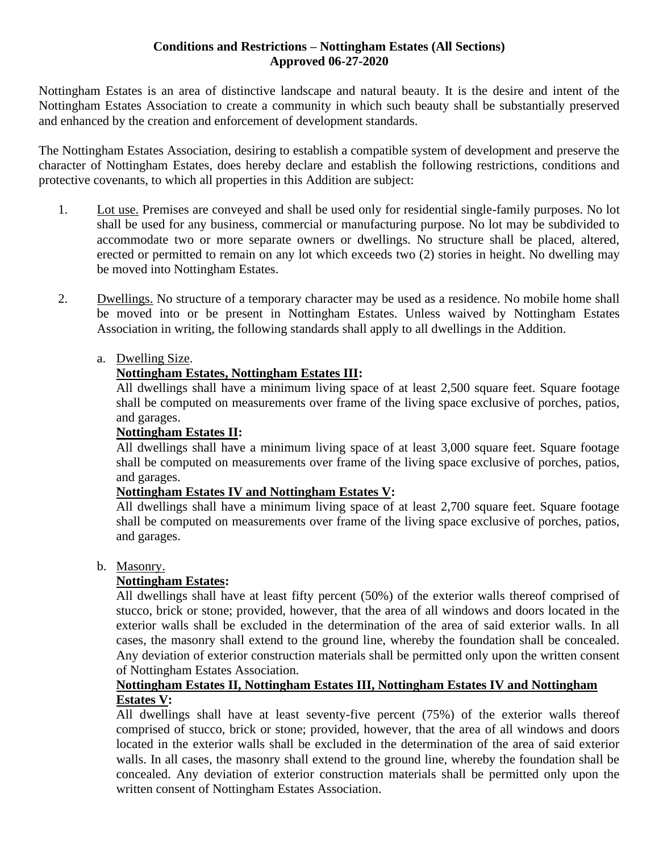#### **Conditions and Restrictions – Nottingham Estates (All Sections) Approved 06-27-2020**

Nottingham Estates is an area of distinctive landscape and natural beauty. It is the desire and intent of the Nottingham Estates Association to create a community in which such beauty shall be substantially preserved and enhanced by the creation and enforcement of development standards.

The Nottingham Estates Association, desiring to establish a compatible system of development and preserve the character of Nottingham Estates, does hereby declare and establish the following restrictions, conditions and protective covenants, to which all properties in this Addition are subject:

- 1. Lot use. Premises are conveyed and shall be used only for residential single-family purposes. No lot shall be used for any business, commercial or manufacturing purpose. No lot may be subdivided to accommodate two or more separate owners or dwellings. No structure shall be placed, altered, erected or permitted to remain on any lot which exceeds two (2) stories in height. No dwelling may be moved into Nottingham Estates.
- 2. Dwellings. No structure of a temporary character may be used as a residence. No mobile home shall be moved into or be present in Nottingham Estates. Unless waived by Nottingham Estates Association in writing, the following standards shall apply to all dwellings in the Addition.
	- a. Dwelling Size.

# **Nottingham Estates, Nottingham Estates III:**

All dwellings shall have a minimum living space of at least 2,500 square feet. Square footage shall be computed on measurements over frame of the living space exclusive of porches, patios, and garages.

## **Nottingham Estates II:**

All dwellings shall have a minimum living space of at least 3,000 square feet. Square footage shall be computed on measurements over frame of the living space exclusive of porches, patios, and garages.

## **Nottingham Estates IV and Nottingham Estates V:**

All dwellings shall have a minimum living space of at least 2,700 square feet. Square footage shall be computed on measurements over frame of the living space exclusive of porches, patios, and garages.

## b. Masonry.

## **Nottingham Estates:**

All dwellings shall have at least fifty percent (50%) of the exterior walls thereof comprised of stucco, brick or stone; provided, however, that the area of all windows and doors located in the exterior walls shall be excluded in the determination of the area of said exterior walls. In all cases, the masonry shall extend to the ground line, whereby the foundation shall be concealed. Any deviation of exterior construction materials shall be permitted only upon the written consent of Nottingham Estates Association.

#### **Nottingham Estates II, Nottingham Estates III, Nottingham Estates IV and Nottingham Estates V:**

All dwellings shall have at least seventy-five percent (75%) of the exterior walls thereof comprised of stucco, brick or stone; provided, however, that the area of all windows and doors located in the exterior walls shall be excluded in the determination of the area of said exterior walls. In all cases, the masonry shall extend to the ground line, whereby the foundation shall be concealed. Any deviation of exterior construction materials shall be permitted only upon the written consent of Nottingham Estates Association.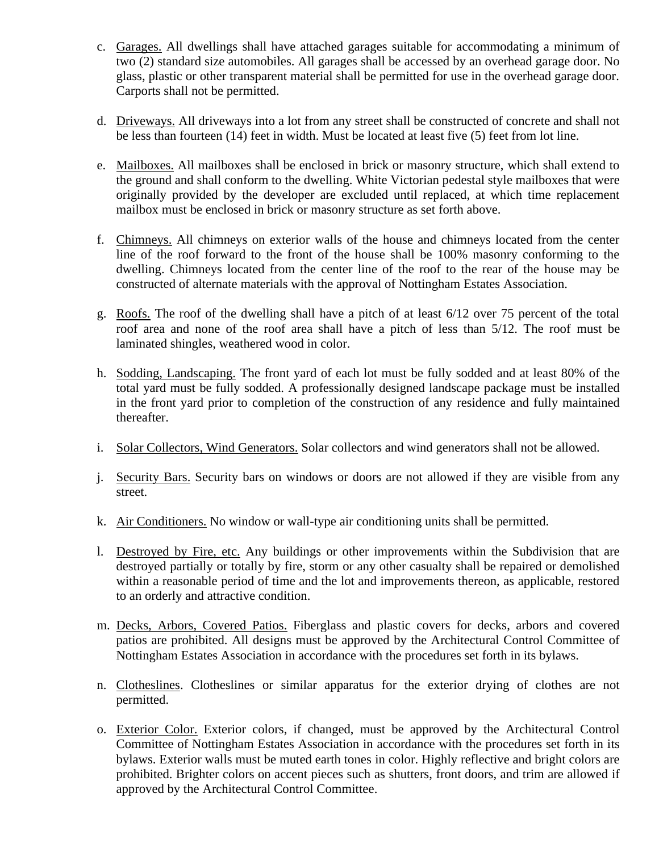- c. Garages. All dwellings shall have attached garages suitable for accommodating a minimum of two (2) standard size automobiles. All garages shall be accessed by an overhead garage door. No glass, plastic or other transparent material shall be permitted for use in the overhead garage door. Carports shall not be permitted.
- d. Driveways. All driveways into a lot from any street shall be constructed of concrete and shall not be less than fourteen (14) feet in width. Must be located at least five (5) feet from lot line.
- e. Mailboxes. All mailboxes shall be enclosed in brick or masonry structure, which shall extend to the ground and shall conform to the dwelling. White Victorian pedestal style mailboxes that were originally provided by the developer are excluded until replaced, at which time replacement mailbox must be enclosed in brick or masonry structure as set forth above.
- f. Chimneys. All chimneys on exterior walls of the house and chimneys located from the center line of the roof forward to the front of the house shall be 100% masonry conforming to the dwelling. Chimneys located from the center line of the roof to the rear of the house may be constructed of alternate materials with the approval of Nottingham Estates Association.
- g. Roofs. The roof of the dwelling shall have a pitch of at least 6/12 over 75 percent of the total roof area and none of the roof area shall have a pitch of less than 5/12. The roof must be laminated shingles, weathered wood in color.
- h. Sodding, Landscaping. The front yard of each lot must be fully sodded and at least 80% of the total yard must be fully sodded. A professionally designed landscape package must be installed in the front yard prior to completion of the construction of any residence and fully maintained thereafter.
- i. Solar Collectors, Wind Generators. Solar collectors and wind generators shall not be allowed.
- j. Security Bars. Security bars on windows or doors are not allowed if they are visible from any street.
- k. Air Conditioners. No window or wall-type air conditioning units shall be permitted.
- l. Destroyed by Fire, etc. Any buildings or other improvements within the Subdivision that are destroyed partially or totally by fire, storm or any other casualty shall be repaired or demolished within a reasonable period of time and the lot and improvements thereon, as applicable, restored to an orderly and attractive condition.
- m. Decks, Arbors, Covered Patios. Fiberglass and plastic covers for decks, arbors and covered patios are prohibited. All designs must be approved by the Architectural Control Committee of Nottingham Estates Association in accordance with the procedures set forth in its bylaws.
- n. Clotheslines. Clotheslines or similar apparatus for the exterior drying of clothes are not permitted.
- o. Exterior Color. Exterior colors, if changed, must be approved by the Architectural Control Committee of Nottingham Estates Association in accordance with the procedures set forth in its bylaws. Exterior walls must be muted earth tones in color. Highly reflective and bright colors are prohibited. Brighter colors on accent pieces such as shutters, front doors, and trim are allowed if approved by the Architectural Control Committee.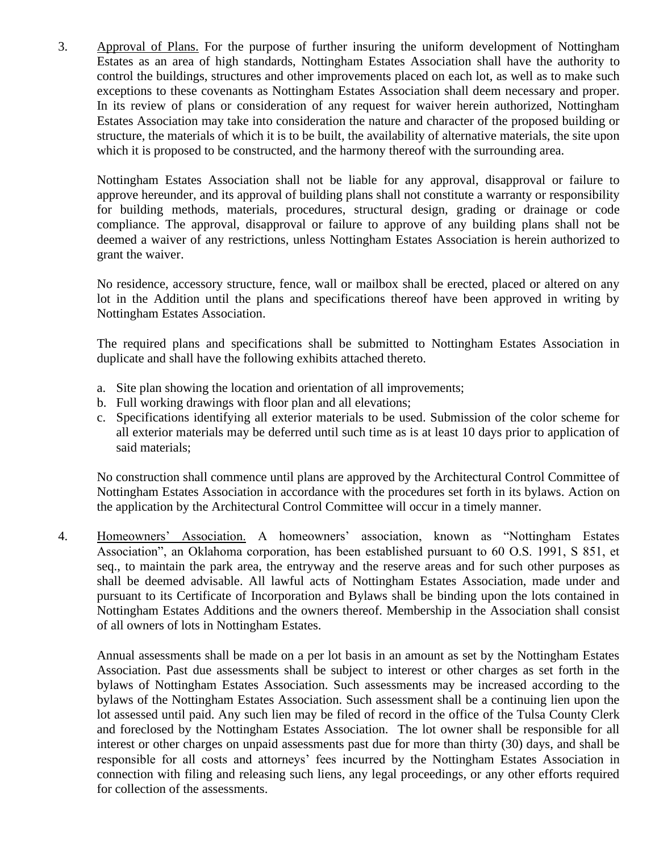3. Approval of Plans. For the purpose of further insuring the uniform development of Nottingham Estates as an area of high standards, Nottingham Estates Association shall have the authority to control the buildings, structures and other improvements placed on each lot, as well as to make such exceptions to these covenants as Nottingham Estates Association shall deem necessary and proper. In its review of plans or consideration of any request for waiver herein authorized, Nottingham Estates Association may take into consideration the nature and character of the proposed building or structure, the materials of which it is to be built, the availability of alternative materials, the site upon which it is proposed to be constructed, and the harmony thereof with the surrounding area.

Nottingham Estates Association shall not be liable for any approval, disapproval or failure to approve hereunder, and its approval of building plans shall not constitute a warranty or responsibility for building methods, materials, procedures, structural design, grading or drainage or code compliance. The approval, disapproval or failure to approve of any building plans shall not be deemed a waiver of any restrictions, unless Nottingham Estates Association is herein authorized to grant the waiver.

No residence, accessory structure, fence, wall or mailbox shall be erected, placed or altered on any lot in the Addition until the plans and specifications thereof have been approved in writing by Nottingham Estates Association.

The required plans and specifications shall be submitted to Nottingham Estates Association in duplicate and shall have the following exhibits attached thereto.

- a. Site plan showing the location and orientation of all improvements;
- b. Full working drawings with floor plan and all elevations;
- c. Specifications identifying all exterior materials to be used. Submission of the color scheme for all exterior materials may be deferred until such time as is at least 10 days prior to application of said materials;

No construction shall commence until plans are approved by the Architectural Control Committee of Nottingham Estates Association in accordance with the procedures set forth in its bylaws. Action on the application by the Architectural Control Committee will occur in a timely manner.

4. Homeowners' Association. A homeowners' association, known as "Nottingham Estates Association", an Oklahoma corporation, has been established pursuant to 60 O.S. 1991, S 851, et seq., to maintain the park area, the entryway and the reserve areas and for such other purposes as shall be deemed advisable. All lawful acts of Nottingham Estates Association, made under and pursuant to its Certificate of Incorporation and Bylaws shall be binding upon the lots contained in Nottingham Estates Additions and the owners thereof. Membership in the Association shall consist of all owners of lots in Nottingham Estates.

Annual assessments shall be made on a per lot basis in an amount as set by the Nottingham Estates Association. Past due assessments shall be subject to interest or other charges as set forth in the bylaws of Nottingham Estates Association. Such assessments may be increased according to the bylaws of the Nottingham Estates Association. Such assessment shall be a continuing lien upon the lot assessed until paid. Any such lien may be filed of record in the office of the Tulsa County Clerk and foreclosed by the Nottingham Estates Association. The lot owner shall be responsible for all interest or other charges on unpaid assessments past due for more than thirty (30) days, and shall be responsible for all costs and attorneys' fees incurred by the Nottingham Estates Association in connection with filing and releasing such liens, any legal proceedings, or any other efforts required for collection of the assessments.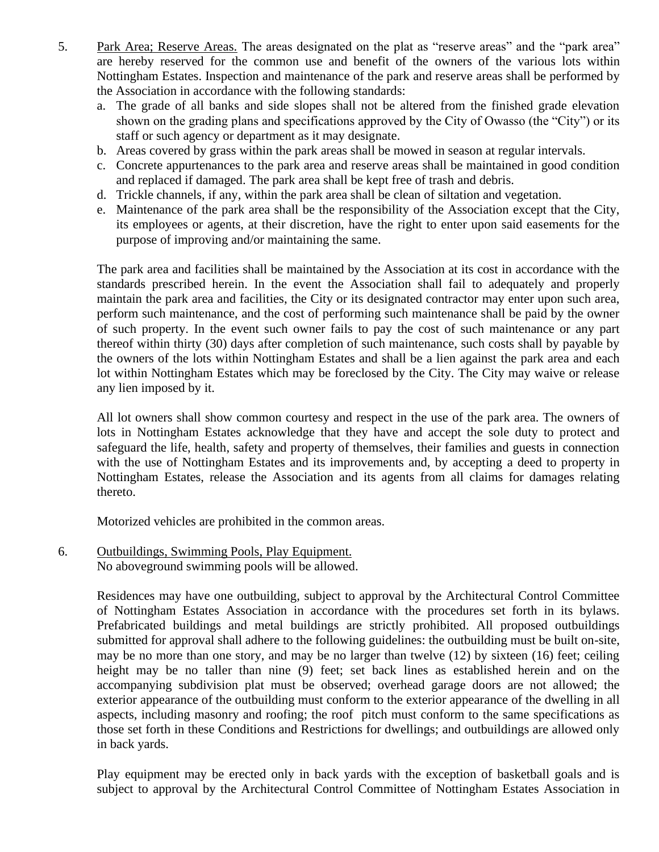- 5. Park Area; Reserve Areas. The areas designated on the plat as "reserve areas" and the "park area" are hereby reserved for the common use and benefit of the owners of the various lots within Nottingham Estates. Inspection and maintenance of the park and reserve areas shall be performed by the Association in accordance with the following standards:
	- a. The grade of all banks and side slopes shall not be altered from the finished grade elevation shown on the grading plans and specifications approved by the City of Owasso (the "City") or its staff or such agency or department as it may designate.
	- b. Areas covered by grass within the park areas shall be mowed in season at regular intervals.
	- c. Concrete appurtenances to the park area and reserve areas shall be maintained in good condition and replaced if damaged. The park area shall be kept free of trash and debris.
	- d. Trickle channels, if any, within the park area shall be clean of siltation and vegetation.
	- e. Maintenance of the park area shall be the responsibility of the Association except that the City, its employees or agents, at their discretion, have the right to enter upon said easements for the purpose of improving and/or maintaining the same.

The park area and facilities shall be maintained by the Association at its cost in accordance with the standards prescribed herein. In the event the Association shall fail to adequately and properly maintain the park area and facilities, the City or its designated contractor may enter upon such area, perform such maintenance, and the cost of performing such maintenance shall be paid by the owner of such property. In the event such owner fails to pay the cost of such maintenance or any part thereof within thirty (30) days after completion of such maintenance, such costs shall by payable by the owners of the lots within Nottingham Estates and shall be a lien against the park area and each lot within Nottingham Estates which may be foreclosed by the City. The City may waive or release any lien imposed by it.

All lot owners shall show common courtesy and respect in the use of the park area. The owners of lots in Nottingham Estates acknowledge that they have and accept the sole duty to protect and safeguard the life, health, safety and property of themselves, their families and guests in connection with the use of Nottingham Estates and its improvements and, by accepting a deed to property in Nottingham Estates, release the Association and its agents from all claims for damages relating thereto.

Motorized vehicles are prohibited in the common areas.

6. Outbuildings, Swimming Pools, Play Equipment. No aboveground swimming pools will be allowed.

> Residences may have one outbuilding, subject to approval by the Architectural Control Committee of Nottingham Estates Association in accordance with the procedures set forth in its bylaws. Prefabricated buildings and metal buildings are strictly prohibited. All proposed outbuildings submitted for approval shall adhere to the following guidelines: the outbuilding must be built on-site, may be no more than one story, and may be no larger than twelve (12) by sixteen (16) feet; ceiling height may be no taller than nine (9) feet; set back lines as established herein and on the accompanying subdivision plat must be observed; overhead garage doors are not allowed; the exterior appearance of the outbuilding must conform to the exterior appearance of the dwelling in all aspects, including masonry and roofing; the roof pitch must conform to the same specifications as those set forth in these Conditions and Restrictions for dwellings; and outbuildings are allowed only in back yards.

> Play equipment may be erected only in back yards with the exception of basketball goals and is subject to approval by the Architectural Control Committee of Nottingham Estates Association in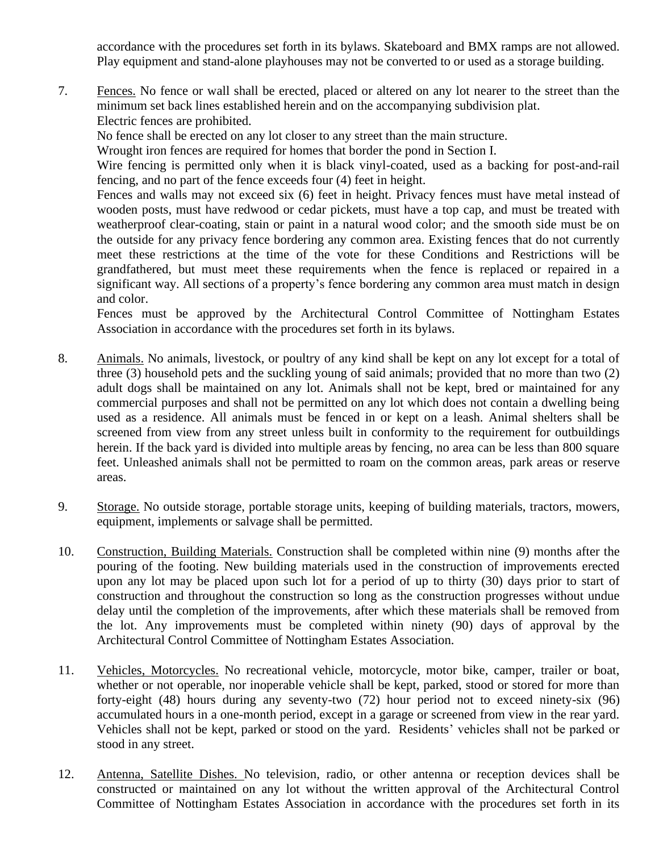accordance with the procedures set forth in its bylaws. Skateboard and BMX ramps are not allowed. Play equipment and stand-alone playhouses may not be converted to or used as a storage building.

7. Fences. No fence or wall shall be erected, placed or altered on any lot nearer to the street than the minimum set back lines established herein and on the accompanying subdivision plat. Electric fences are prohibited.

No fence shall be erected on any lot closer to any street than the main structure.

Wrought iron fences are required for homes that border the pond in Section I.

Wire fencing is permitted only when it is black vinyl-coated, used as a backing for post-and-rail fencing, and no part of the fence exceeds four (4) feet in height.

Fences and walls may not exceed six (6) feet in height. Privacy fences must have metal instead of wooden posts, must have redwood or cedar pickets, must have a top cap, and must be treated with weatherproof clear-coating, stain or paint in a natural wood color; and the smooth side must be on the outside for any privacy fence bordering any common area. Existing fences that do not currently meet these restrictions at the time of the vote for these Conditions and Restrictions will be grandfathered, but must meet these requirements when the fence is replaced or repaired in a significant way. All sections of a property's fence bordering any common area must match in design and color.

Fences must be approved by the Architectural Control Committee of Nottingham Estates Association in accordance with the procedures set forth in its bylaws.

- 8. Animals. No animals, livestock, or poultry of any kind shall be kept on any lot except for a total of three (3) household pets and the suckling young of said animals; provided that no more than two (2) adult dogs shall be maintained on any lot. Animals shall not be kept, bred or maintained for any commercial purposes and shall not be permitted on any lot which does not contain a dwelling being used as a residence. All animals must be fenced in or kept on a leash. Animal shelters shall be screened from view from any street unless built in conformity to the requirement for outbuildings herein. If the back yard is divided into multiple areas by fencing, no area can be less than 800 square feet. Unleashed animals shall not be permitted to roam on the common areas, park areas or reserve areas.
- 9. Storage. No outside storage, portable storage units, keeping of building materials, tractors, mowers, equipment, implements or salvage shall be permitted.
- 10. Construction, Building Materials. Construction shall be completed within nine (9) months after the pouring of the footing. New building materials used in the construction of improvements erected upon any lot may be placed upon such lot for a period of up to thirty (30) days prior to start of construction and throughout the construction so long as the construction progresses without undue delay until the completion of the improvements, after which these materials shall be removed from the lot. Any improvements must be completed within ninety (90) days of approval by the Architectural Control Committee of Nottingham Estates Association.
- 11. Vehicles, Motorcycles. No recreational vehicle, motorcycle, motor bike, camper, trailer or boat, whether or not operable, nor inoperable vehicle shall be kept, parked, stood or stored for more than forty-eight (48) hours during any seventy-two (72) hour period not to exceed ninety-six (96) accumulated hours in a one-month period, except in a garage or screened from view in the rear yard. Vehicles shall not be kept, parked or stood on the yard. Residents' vehicles shall not be parked or stood in any street.
- 12. Antenna, Satellite Dishes. No television, radio, or other antenna or reception devices shall be constructed or maintained on any lot without the written approval of the Architectural Control Committee of Nottingham Estates Association in accordance with the procedures set forth in its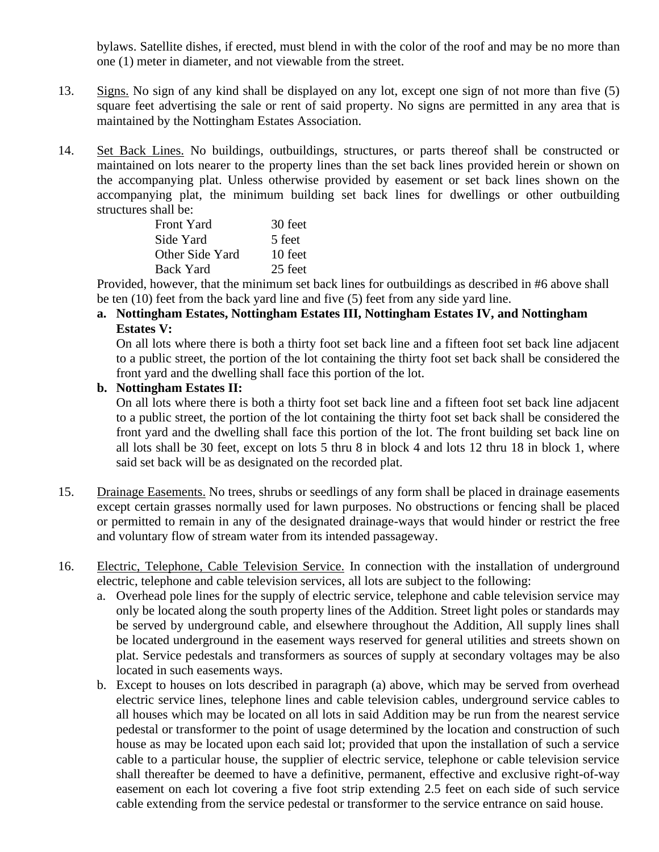bylaws. Satellite dishes, if erected, must blend in with the color of the roof and may be no more than one (1) meter in diameter, and not viewable from the street.

- 13. Signs. No sign of any kind shall be displayed on any lot, except one sign of not more than five (5) square feet advertising the sale or rent of said property. No signs are permitted in any area that is maintained by the Nottingham Estates Association.
- 14. Set Back Lines. No buildings, outbuildings, structures, or parts thereof shall be constructed or maintained on lots nearer to the property lines than the set back lines provided herein or shown on the accompanying plat. Unless otherwise provided by easement or set back lines shown on the accompanying plat, the minimum building set back lines for dwellings or other outbuilding structures shall be:

| <b>Front Yard</b> | 30 feet |
|-------------------|---------|
| Side Yard         | 5 feet  |
| Other Side Yard   | 10 feet |
| <b>Back Yard</b>  | 25 feet |

Provided, however, that the minimum set back lines for outbuildings as described in #6 above shall be ten (10) feet from the back yard line and five (5) feet from any side yard line.

#### **a. Nottingham Estates, Nottingham Estates III, Nottingham Estates IV, and Nottingham Estates V:**

On all lots where there is both a thirty foot set back line and a fifteen foot set back line adjacent to a public street, the portion of the lot containing the thirty foot set back shall be considered the front yard and the dwelling shall face this portion of the lot.

#### **b. Nottingham Estates II:**

On all lots where there is both a thirty foot set back line and a fifteen foot set back line adjacent to a public street, the portion of the lot containing the thirty foot set back shall be considered the front yard and the dwelling shall face this portion of the lot. The front building set back line on all lots shall be 30 feet, except on lots 5 thru 8 in block 4 and lots 12 thru 18 in block 1, where said set back will be as designated on the recorded plat.

- 15. Drainage Easements. No trees, shrubs or seedlings of any form shall be placed in drainage easements except certain grasses normally used for lawn purposes. No obstructions or fencing shall be placed or permitted to remain in any of the designated drainage-ways that would hinder or restrict the free and voluntary flow of stream water from its intended passageway.
- 16. Electric, Telephone, Cable Television Service. In connection with the installation of underground electric, telephone and cable television services, all lots are subject to the following:
	- a. Overhead pole lines for the supply of electric service, telephone and cable television service may only be located along the south property lines of the Addition. Street light poles or standards may be served by underground cable, and elsewhere throughout the Addition, All supply lines shall be located underground in the easement ways reserved for general utilities and streets shown on plat. Service pedestals and transformers as sources of supply at secondary voltages may be also located in such easements ways.
	- b. Except to houses on lots described in paragraph (a) above, which may be served from overhead electric service lines, telephone lines and cable television cables, underground service cables to all houses which may be located on all lots in said Addition may be run from the nearest service pedestal or transformer to the point of usage determined by the location and construction of such house as may be located upon each said lot; provided that upon the installation of such a service cable to a particular house, the supplier of electric service, telephone or cable television service shall thereafter be deemed to have a definitive, permanent, effective and exclusive right-of-way easement on each lot covering a five foot strip extending 2.5 feet on each side of such service cable extending from the service pedestal or transformer to the service entrance on said house.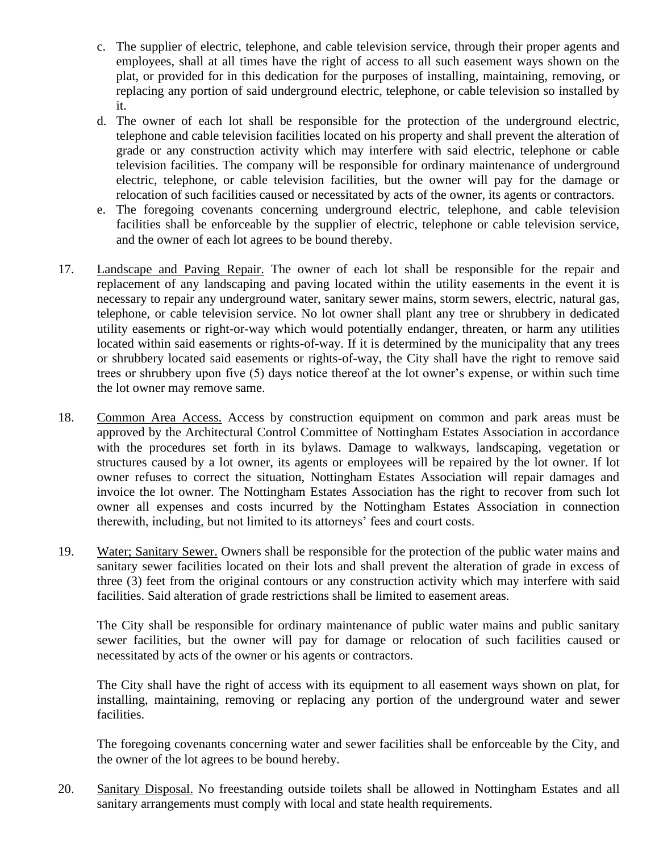- c. The supplier of electric, telephone, and cable television service, through their proper agents and employees, shall at all times have the right of access to all such easement ways shown on the plat, or provided for in this dedication for the purposes of installing, maintaining, removing, or replacing any portion of said underground electric, telephone, or cable television so installed by it.
- d. The owner of each lot shall be responsible for the protection of the underground electric, telephone and cable television facilities located on his property and shall prevent the alteration of grade or any construction activity which may interfere with said electric, telephone or cable television facilities. The company will be responsible for ordinary maintenance of underground electric, telephone, or cable television facilities, but the owner will pay for the damage or relocation of such facilities caused or necessitated by acts of the owner, its agents or contractors.
- e. The foregoing covenants concerning underground electric, telephone, and cable television facilities shall be enforceable by the supplier of electric, telephone or cable television service, and the owner of each lot agrees to be bound thereby.
- 17. Landscape and Paving Repair. The owner of each lot shall be responsible for the repair and replacement of any landscaping and paving located within the utility easements in the event it is necessary to repair any underground water, sanitary sewer mains, storm sewers, electric, natural gas, telephone, or cable television service. No lot owner shall plant any tree or shrubbery in dedicated utility easements or right-or-way which would potentially endanger, threaten, or harm any utilities located within said easements or rights-of-way. If it is determined by the municipality that any trees or shrubbery located said easements or rights-of-way, the City shall have the right to remove said trees or shrubbery upon five (5) days notice thereof at the lot owner's expense, or within such time the lot owner may remove same.
- 18. Common Area Access. Access by construction equipment on common and park areas must be approved by the Architectural Control Committee of Nottingham Estates Association in accordance with the procedures set forth in its bylaws. Damage to walkways, landscaping, vegetation or structures caused by a lot owner, its agents or employees will be repaired by the lot owner. If lot owner refuses to correct the situation, Nottingham Estates Association will repair damages and invoice the lot owner. The Nottingham Estates Association has the right to recover from such lot owner all expenses and costs incurred by the Nottingham Estates Association in connection therewith, including, but not limited to its attorneys' fees and court costs.
- 19. Water; Sanitary Sewer. Owners shall be responsible for the protection of the public water mains and sanitary sewer facilities located on their lots and shall prevent the alteration of grade in excess of three (3) feet from the original contours or any construction activity which may interfere with said facilities. Said alteration of grade restrictions shall be limited to easement areas.

The City shall be responsible for ordinary maintenance of public water mains and public sanitary sewer facilities, but the owner will pay for damage or relocation of such facilities caused or necessitated by acts of the owner or his agents or contractors.

The City shall have the right of access with its equipment to all easement ways shown on plat, for installing, maintaining, removing or replacing any portion of the underground water and sewer facilities.

The foregoing covenants concerning water and sewer facilities shall be enforceable by the City, and the owner of the lot agrees to be bound hereby.

20. Sanitary Disposal. No freestanding outside toilets shall be allowed in Nottingham Estates and all sanitary arrangements must comply with local and state health requirements.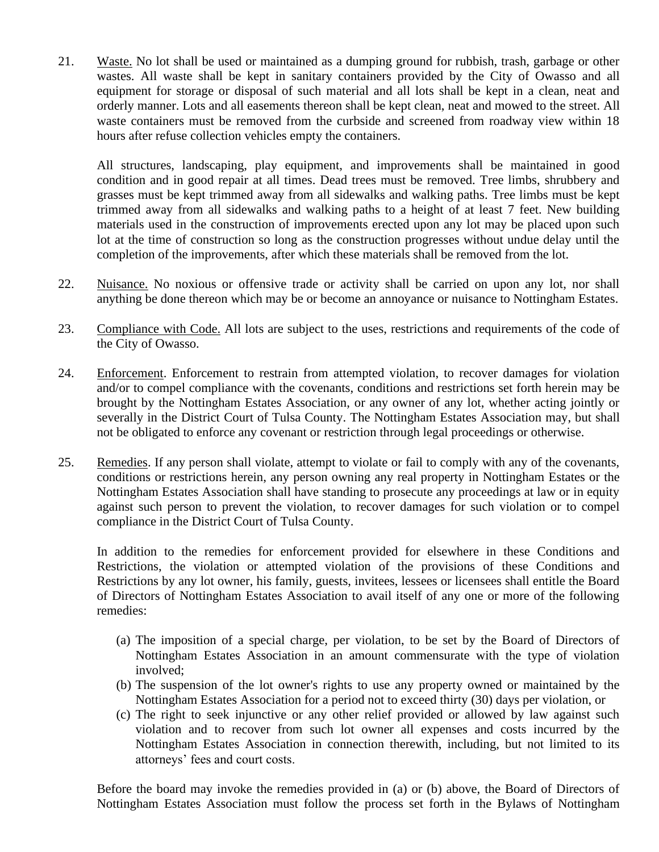21. Waste. No lot shall be used or maintained as a dumping ground for rubbish, trash, garbage or other wastes. All waste shall be kept in sanitary containers provided by the City of Owasso and all equipment for storage or disposal of such material and all lots shall be kept in a clean, neat and orderly manner. Lots and all easements thereon shall be kept clean, neat and mowed to the street. All waste containers must be removed from the curbside and screened from roadway view within 18 hours after refuse collection vehicles empty the containers.

All structures, landscaping, play equipment, and improvements shall be maintained in good condition and in good repair at all times. Dead trees must be removed. Tree limbs, shrubbery and grasses must be kept trimmed away from all sidewalks and walking paths. Tree limbs must be kept trimmed away from all sidewalks and walking paths to a height of at least 7 feet. New building materials used in the construction of improvements erected upon any lot may be placed upon such lot at the time of construction so long as the construction progresses without undue delay until the completion of the improvements, after which these materials shall be removed from the lot.

- 22. Nuisance. No noxious or offensive trade or activity shall be carried on upon any lot, nor shall anything be done thereon which may be or become an annoyance or nuisance to Nottingham Estates.
- 23. Compliance with Code. All lots are subject to the uses, restrictions and requirements of the code of the City of Owasso.
- 24. Enforcement. Enforcement to restrain from attempted violation, to recover damages for violation and/or to compel compliance with the covenants, conditions and restrictions set forth herein may be brought by the Nottingham Estates Association, or any owner of any lot, whether acting jointly or severally in the District Court of Tulsa County. The Nottingham Estates Association may, but shall not be obligated to enforce any covenant or restriction through legal proceedings or otherwise.
- 25. Remedies. If any person shall violate, attempt to violate or fail to comply with any of the covenants, conditions or restrictions herein, any person owning any real property in Nottingham Estates or the Nottingham Estates Association shall have standing to prosecute any proceedings at law or in equity against such person to prevent the violation, to recover damages for such violation or to compel compliance in the District Court of Tulsa County.

In addition to the remedies for enforcement provided for elsewhere in these Conditions and Restrictions, the violation or attempted violation of the provisions of these Conditions and Restrictions by any lot owner, his family, guests, invitees, lessees or licensees shall entitle the Board of Directors of Nottingham Estates Association to avail itself of any one or more of the following remedies:

- (a) The imposition of a special charge, per violation, to be set by the Board of Directors of Nottingham Estates Association in an amount commensurate with the type of violation involved;
- (b) The suspension of the lot owner's rights to use any property owned or maintained by the Nottingham Estates Association for a period not to exceed thirty (30) days per violation, or
- (c) The right to seek injunctive or any other relief provided or allowed by law against such violation and to recover from such lot owner all expenses and costs incurred by the Nottingham Estates Association in connection therewith, including, but not limited to its attorneys' fees and court costs.

Before the board may invoke the remedies provided in (a) or (b) above, the Board of Directors of Nottingham Estates Association must follow the process set forth in the Bylaws of Nottingham